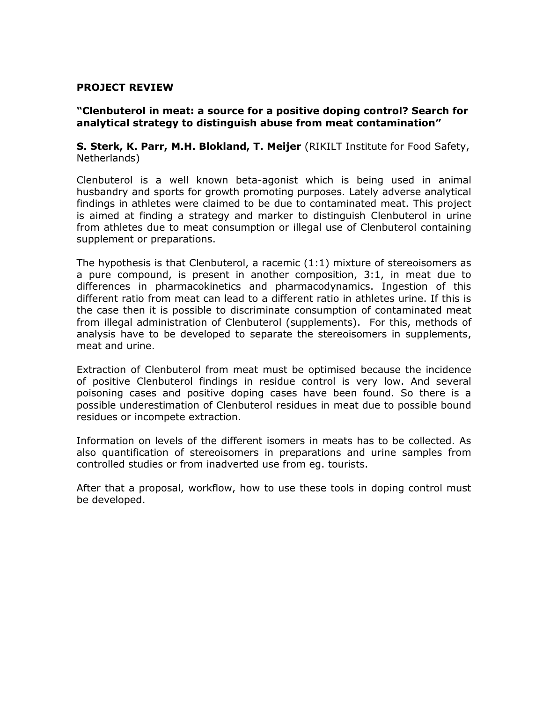### **PROJECT REVIEW**

## **"Clenbuterol in meat: a source for a positive doping control? Search for analytical strategy to distinguish abuse from meat contamination"**

**S. Sterk, K. Parr, M.H. Blokland, T. Meijer** (RIKILT Institute for Food Safety, Netherlands)

Clenbuterol is a well known beta-agonist which is being used in animal husbandry and sports for growth promoting purposes. Lately adverse analytical findings in athletes were claimed to be due to contaminated meat. This project is aimed at finding a strategy and marker to distinguish Clenbuterol in urine from athletes due to meat consumption or illegal use of Clenbuterol containing supplement or preparations.

The hypothesis is that Clenbuterol, a racemic (1:1) mixture of stereoisomers as a pure compound, is present in another composition, 3:1, in meat due to differences in pharmacokinetics and pharmacodynamics. Ingestion of this different ratio from meat can lead to a different ratio in athletes urine. If this is the case then it is possible to discriminate consumption of contaminated meat from illegal administration of Clenbuterol (supplements). For this, methods of analysis have to be developed to separate the stereoisomers in supplements, meat and urine.

Extraction of Clenbuterol from meat must be optimised because the incidence of positive Clenbuterol findings in residue control is very low. And several poisoning cases and positive doping cases have been found. So there is a possible underestimation of Clenbuterol residues in meat due to possible bound residues or incompete extraction.

Information on levels of the different isomers in meats has to be collected. As also quantification of stereoisomers in preparations and urine samples from controlled studies or from inadverted use from eg. tourists.

After that a proposal, workflow, how to use these tools in doping control must be developed.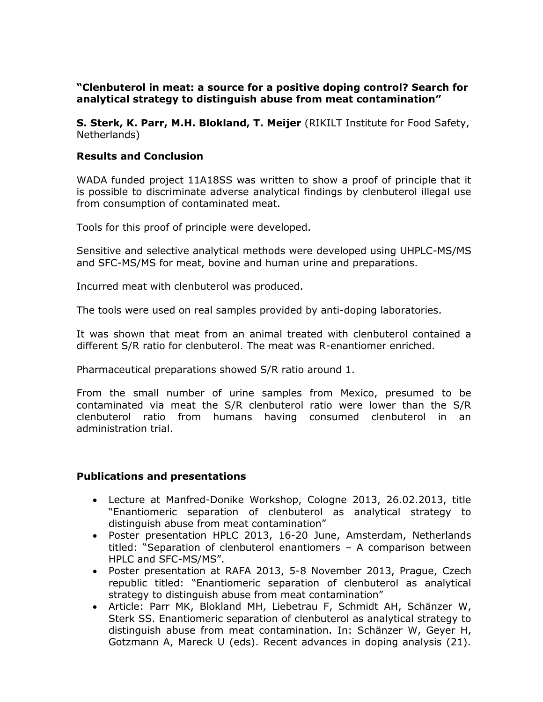# **"Clenbuterol in meat: a source for a positive doping control? Search for analytical strategy to distinguish abuse from meat contamination"**

**S. Sterk, K. Parr, M.H. Blokland, T. Meijer** (RIKILT Institute for Food Safety, Netherlands)

# **Results and Conclusion**

WADA funded project 11A18SS was written to show a proof of principle that it is possible to discriminate adverse analytical findings by clenbuterol illegal use from consumption of contaminated meat.

Tools for this proof of principle were developed.

Sensitive and selective analytical methods were developed using UHPLC-MS/MS and SFC-MS/MS for meat, bovine and human urine and preparations.

Incurred meat with clenbuterol was produced.

The tools were used on real samples provided by anti-doping laboratories.

It was shown that meat from an animal treated with clenbuterol contained a different S/R ratio for clenbuterol. The meat was R-enantiomer enriched.

Pharmaceutical preparations showed S/R ratio around 1.

From the small number of urine samples from Mexico, presumed to be contaminated via meat the S/R clenbuterol ratio were lower than the S/R clenbuterol ratio from humans having consumed clenbuterol in an administration trial.

#### **Publications and presentations**

- Lecture at Manfred-Donike Workshop, Cologne 2013, 26.02.2013, title "Enantiomeric separation of clenbuterol as analytical strategy to distinguish abuse from meat contamination"
- Poster presentation HPLC 2013, 16-20 June, Amsterdam, Netherlands titled: "Separation of clenbuterol enantiomers – A comparison between HPLC and SFC-MS/MS".
- Poster presentation at RAFA 2013, 5-8 November 2013, Prague, Czech republic titled: "Enantiomeric separation of clenbuterol as analytical strategy to distinguish abuse from meat contamination"
- Article: Parr MK, Blokland MH, Liebetrau F, Schmidt AH, Schänzer W, Sterk SS. Enantiomeric separation of clenbuterol as analytical strategy to distinguish abuse from meat contamination. In: Schänzer W, Geyer H, Gotzmann A, Mareck U (eds). Recent advances in doping analysis (21).